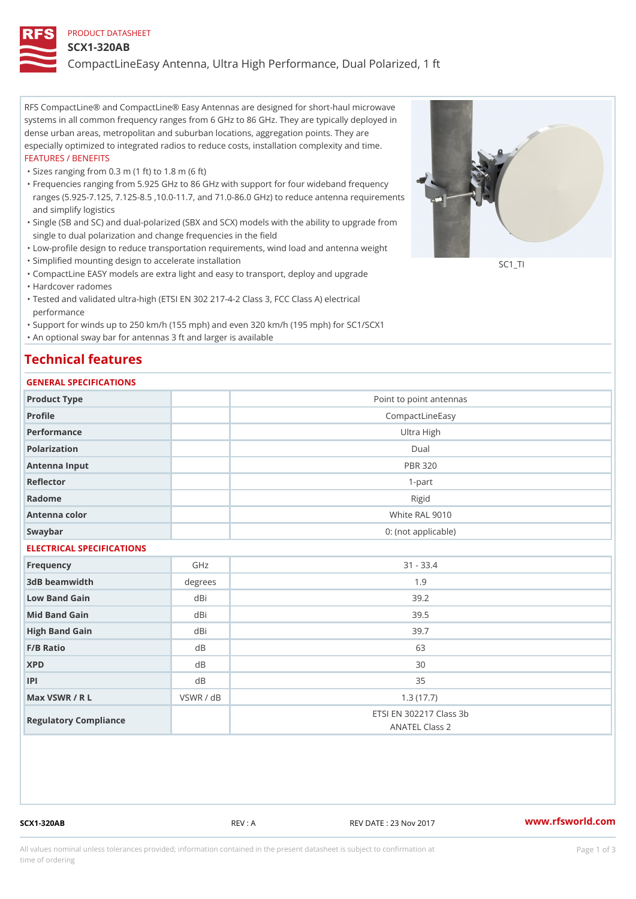#### PRODUCT DATASHEET

#### SCX1-320AB

CompactLineEasy Antenna, Ultra High Performance, Dual Polarized, 1 ft

RFS CompactLine® and CompactLine® Easy Antennas are designed for short-haul microwave systems in all common frequency ranges from 6 GHz to 86 GHz. They are typically deployed in dense urban areas, metropolitan and suburban locations, aggregation points. They are especially optimized to integrated radios to reduce costs, installation complexity and time. FEATURES / BENEFITS

"Sizes ranging from 0.3 m (1 ft) to 1.8 m (6 ft)

- Frequencies ranging from 5.925 GHz to 86 GHz with support for four wideband frequency " ranges (5.925-7.125, 7.125-8.5 ,10.0-11.7, and 71.0-86.0 GHz) to reduce antenna requirements and simplify logistics
- Single (SB and SC) and dual-polarized (SBX and SCX) models with the ability to upgrade from " single to dual polarization and change frequencies in the field
- "Low-profile design to reduce transportation requirements, wind load and antenna weight
- "Simplified mounting design to accelerate installation

 "CompactLine EASY models are extra light and easy to transport, deploy and upgrade "Hardcover radomes

Tested and validated ultra-high (ETSI EN 302 217-4-2 Class 3, FCC Class A) electrical " performance

 "Support for winds up to 250 km/h (155 mph) and even 320 km/h (195 mph) for SC1/SCX1 "An optional sway bar for antennas 3 ft and larger is available

# Technical features

### GENERAL SPECIFICATIONS

| GENERAL SELGIFICATIONS    |           |                                                  |  |  |  |  |
|---------------------------|-----------|--------------------------------------------------|--|--|--|--|
| Product Type              |           | Point to point antennas                          |  |  |  |  |
| Profile                   |           | CompactLineEasy                                  |  |  |  |  |
| Performance               |           | Ultra High                                       |  |  |  |  |
| Polarization              |           | $D$ ual                                          |  |  |  |  |
| Antenna Input             |           | <b>PBR 320</b>                                   |  |  |  |  |
| Reflector                 |           | $1-part$                                         |  |  |  |  |
| Radome                    |           | Rigid                                            |  |  |  |  |
| Antenna color             |           | White RAL 9010                                   |  |  |  |  |
| Swaybar                   |           | 0: (not applicable)                              |  |  |  |  |
| ELECTRICAL SPECIFICATIONS |           |                                                  |  |  |  |  |
| Frequency                 | GHz       | $31 - 33.4$                                      |  |  |  |  |
| 3dB beamwidth             | degrees   | 1.9                                              |  |  |  |  |
| Low Band Gain             | dBi       | 39.2                                             |  |  |  |  |
| Mid Band Gain             | dBi       | 39.5                                             |  |  |  |  |
| High Band Gain            | dBi       | 39.7                                             |  |  |  |  |
| F/B Ratio                 | d B       | 63                                               |  |  |  |  |
| <b>XPD</b>                | d B       | 30                                               |  |  |  |  |
| P                         | d B       | 35                                               |  |  |  |  |
| Max VSWR / R L            | VSWR / dB | 1.3(17.7)                                        |  |  |  |  |
| Regulatory Compliance     |           | ETSI EN 302217 Class 3b<br><b>ANATEL Class 2</b> |  |  |  |  |

SCX1-320AB REV : A REV DATE : 23 Nov 2017 [www.](https://www.rfsworld.com)rfsworld.com

SC<sub>1</sub>TI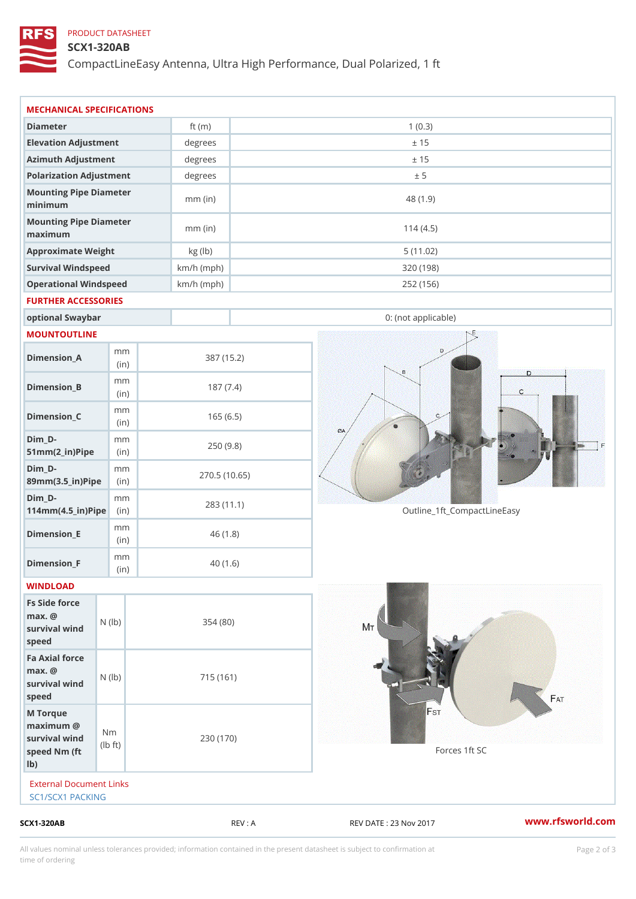# PRODUCT DATASHEET

### SCX1-320AB

CompactLineEasy Antenna, Ultra High Performance, Dual Polarized, 1 ft

| SC1/SCX1 PACKING |                                                                                                                                                                                                                                                                                                                                                                                               |                                                                                                                                                                           |                                                                                                                                           |                                              |
|------------------|-----------------------------------------------------------------------------------------------------------------------------------------------------------------------------------------------------------------------------------------------------------------------------------------------------------------------------------------------------------------------------------------------|---------------------------------------------------------------------------------------------------------------------------------------------------------------------------|-------------------------------------------------------------------------------------------------------------------------------------------|----------------------------------------------|
| $\pm$ t)         |                                                                                                                                                                                                                                                                                                                                                                                               |                                                                                                                                                                           | Forces 1ft SC                                                                                                                             |                                              |
|                  |                                                                                                                                                                                                                                                                                                                                                                                               |                                                                                                                                                                           |                                                                                                                                           |                                              |
|                  |                                                                                                                                                                                                                                                                                                                                                                                               |                                                                                                                                                                           |                                                                                                                                           |                                              |
|                  |                                                                                                                                                                                                                                                                                                                                                                                               |                                                                                                                                                                           |                                                                                                                                           |                                              |
| m m              |                                                                                                                                                                                                                                                                                                                                                                                               |                                                                                                                                                                           |                                                                                                                                           |                                              |
| m m              |                                                                                                                                                                                                                                                                                                                                                                                               |                                                                                                                                                                           |                                                                                                                                           |                                              |
| m m              | 270.5(10.65)<br>283 (11.1)                                                                                                                                                                                                                                                                                                                                                                    |                                                                                                                                                                           | Outline_1ft_CompactLineEasy                                                                                                               |                                              |
| m m              |                                                                                                                                                                                                                                                                                                                                                                                               |                                                                                                                                                                           |                                                                                                                                           |                                              |
| m m              |                                                                                                                                                                                                                                                                                                                                                                                               |                                                                                                                                                                           |                                                                                                                                           |                                              |
| m m<br>(in)      |                                                                                                                                                                                                                                                                                                                                                                                               |                                                                                                                                                                           |                                                                                                                                           |                                              |
| m m<br>(in)      |                                                                                                                                                                                                                                                                                                                                                                                               |                                                                                                                                                                           |                                                                                                                                           |                                              |
| m m<br>(in)      |                                                                                                                                                                                                                                                                                                                                                                                               |                                                                                                                                                                           |                                                                                                                                           |                                              |
|                  |                                                                                                                                                                                                                                                                                                                                                                                               |                                                                                                                                                                           |                                                                                                                                           |                                              |
|                  |                                                                                                                                                                                                                                                                                                                                                                                               |                                                                                                                                                                           | 0: (not applicable)                                                                                                                       |                                              |
|                  |                                                                                                                                                                                                                                                                                                                                                                                               |                                                                                                                                                                           |                                                                                                                                           |                                              |
|                  |                                                                                                                                                                                                                                                                                                                                                                                               |                                                                                                                                                                           | 252 (156)                                                                                                                                 |                                              |
|                  |                                                                                                                                                                                                                                                                                                                                                                                               |                                                                                                                                                                           |                                                                                                                                           |                                              |
|                  | $mm$ (in)                                                                                                                                                                                                                                                                                                                                                                                     |                                                                                                                                                                           | 114(4.5)                                                                                                                                  |                                              |
|                  | $mm$ (in)                                                                                                                                                                                                                                                                                                                                                                                     |                                                                                                                                                                           | 48 (1.9)                                                                                                                                  |                                              |
|                  |                                                                                                                                                                                                                                                                                                                                                                                               |                                                                                                                                                                           |                                                                                                                                           |                                              |
|                  |                                                                                                                                                                                                                                                                                                                                                                                               |                                                                                                                                                                           |                                                                                                                                           |                                              |
|                  |                                                                                                                                                                                                                                                                                                                                                                                               |                                                                                                                                                                           |                                                                                                                                           |                                              |
|                  | ft $(m)$                                                                                                                                                                                                                                                                                                                                                                                      |                                                                                                                                                                           | 1(0.3)                                                                                                                                    |                                              |
|                  | Elevation Adjustment<br>Azimuth Adjustment<br>Approximate Weight<br>Survival Windspeed<br>Operational Windspeed<br>optional Swaybar<br>MOUNTOUTLINE<br>$51mm(2_in)Pip@in$<br>89mm (3.5_in) Pi(pine)<br>$114$ m m (4.5 _ ir ) $\sqrt{$ ii p $\sqrt{ }$<br>(i n)<br>(in)<br>survival $wined$ ( $\vert b \rangle$ )<br>Fa Axial force<br>survival $w \nvert N$ ( $ b$ )<br>N <sub>m</sub><br>l b | degrees<br>degrees<br>Polarization Adjustment<br>degrees<br>Mounting Pipe Diameter<br>Mounting Pipe Diameter<br>kg (lb)<br>FURTHER ACCESSORIES<br>External Document Links | $km/h$ (mph)<br>$km/h$ (mph)<br>387 (15.2)<br>187(7.4)<br>165(6.5)<br>250(9.8)<br>46(1.8)<br>40(1.6)<br>354(80)<br>715 (161)<br>230 (170) | ± 15<br>± 15<br>± 5<br>5(11.02)<br>320 (198) |

All values nominal unless tolerances provided; information contained in the present datasheet is subject to Pcapgelio an atio time of ordering